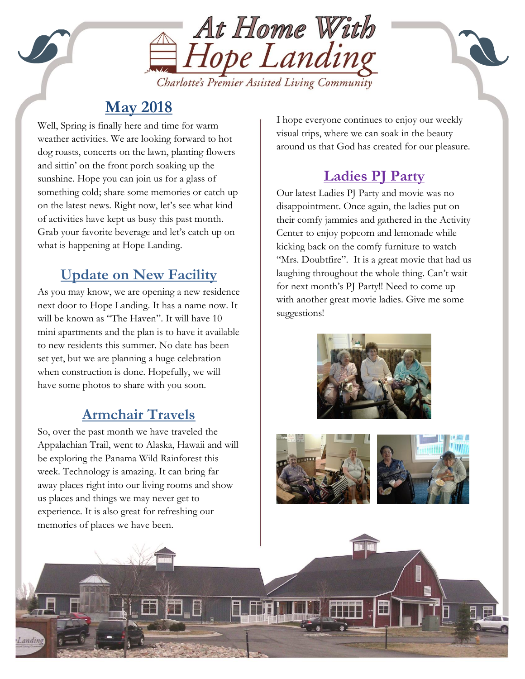

# **May 2018**

on the latest news. Kight now, let s see what kis<br>of activities have kept us busy this past month. Well, Spring is finally here and time for warm weather activities. We are looking forward to hot dog roasts, concerts on the lawn, planting flowers and sittin' on the front porch soaking up the sunshine. Hope you can join us for a glass of something cold; share some memories or catch up on the latest news. Right now, let's see what kind Grab your favorite beverage and let's catch up on what is happening at Hope Landing.

## **Update on New Facility**

As you may know, we are opening a new residence next door to Hope Landing. It has a name now. It will be known as "The Haven". It will have 10 mini apartments and the plan is to have it available to new residents this summer. No date has been set yet, but we are planning a huge celebration when construction is done. Hopefully, we will have some photos to share with you soon.

# **Armchair Travels**

So, over the past month we have traveled the Appalachian Trail, went to Alaska, Hawaii and will be exploring the Panama Wild Rainforest this week. Technology is amazing. It can bring far away places right into our living rooms and show us places and things we may never get to experience. It is also great for refreshing our memories of places we have been.

I hope everyone continues to enjoy our weekly visual trips, where we can soak in the beauty around us that God has created for our pleasure.

# **Ladies PJ Party**

Our latest Ladies PJ Party and movie was no disappointment. Once again, the ladies put on their comfy jammies and gathered in the Activity Center to enjoy popcorn and lemonade while kicking back on the comfy furniture to watch "Mrs. Doubtfire". It is a great movie that had us laughing throughout the whole thing. Can't wait for next month's PJ Party!! Need to come up with another great movie ladies. Give me some suggestions!